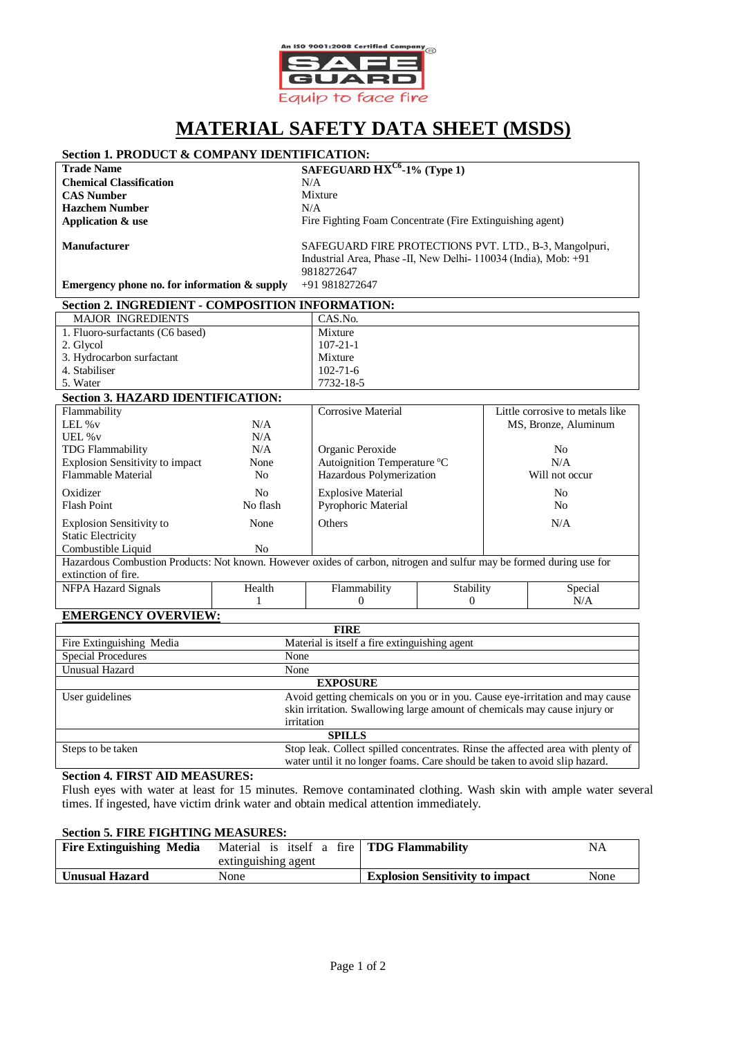

# **MATERIAL SAFETY DATA SHEET (MSDS)**

# **Section 1. PRODUCT & COMPANY IDENTIFICATION:**

**Chemical Classification** N/A **CAS Number** Mixture<br> **Hazchem Number** N/A **Hazchem Number Application & use**

**Trade Name SAFEGUARD HXC6 -1% (Type 1)**

Fire Fighting Foam Concentrate (Fire Extinguishing agent)

**Manufacturer**

SAFEGUARD FIRE PROTECTIONS PVT. LTD., B-3, Mangolpuri, Industrial Area, Phase -II, New Delhi- 110034 (India), Mob: +91 9818272647 +91 9818272647

0

N/A

**Emergency phone no. for information & supply**

#### **Section 2. INGREDIENT - COMPOSITION INFORMATION:** MAJOR INGREDIENTS CAS.No. 1. Fluoro-surfactants (C6 based) Mixture

| 2. Glycol                                |      | $107 - 21 - 1$              |                                 |
|------------------------------------------|------|-----------------------------|---------------------------------|
| 3. Hydrocarbon surfactant                |      | Mixture                     |                                 |
| 4. Stabiliser                            |      | $102 - 71 - 6$              |                                 |
| 5. Water                                 |      | 7732-18-5                   |                                 |
| <b>Section 3. HAZARD IDENTIFICATION:</b> |      |                             |                                 |
| Flammability                             |      | Corrosive Material          | Little corrosive to metals like |
| LEL $\%v$                                | N/A  |                             | MS, Bronze, Aluminum            |
| UEL $\%$ v                               | N/A  |                             |                                 |
| <b>TDG Flammability</b>                  | N/A  | Organic Peroxide            | No.                             |
| <b>Explosion Sensitivity to impact</b>   | None | Autoignition Temperature °C | N/A                             |
| Flammable Material                       | No   | Hazardous Polymerization    | Will not occur                  |
| Oxidizer                                 | No   | <b>Explosive Material</b>   | No                              |

Flash Point No flash Pyrophoric Material No No Flash Pyrophoric Material No No No No No No No No No No No No No Explosion Sensitivity to Static Electricity None Others N/A Combustible Liquid No Hazardous Combustion Products: Not known. However oxides of carbon, nitrogen and sulfur may be formed during use for extinction of fire. NFPA Hazard Signals Health Flammability **Stability** Special

0

1

# **EMERGENCY OVERVIEW:**

| <b>FIRE</b>               |                                                                                                                                                           |  |
|---------------------------|-----------------------------------------------------------------------------------------------------------------------------------------------------------|--|
| Fire Extinguishing Media  | Material is itself a fire extinguishing agent                                                                                                             |  |
| <b>Special Procedures</b> | None                                                                                                                                                      |  |
| Unusual Hazard            | None                                                                                                                                                      |  |
| <b>EXPOSURE</b>           |                                                                                                                                                           |  |
| User guidelines           | Avoid getting chemicals on you or in you. Cause eye-irritation and may cause<br>skin irritation. Swallowing large amount of chemicals may cause injury or |  |
|                           | irritation                                                                                                                                                |  |
| <b>SPILLS</b>             |                                                                                                                                                           |  |
| Steps to be taken         | Stop leak. Collect spilled concentrates. Rinse the affected area with plenty of                                                                           |  |
|                           | water until it no longer foams. Care should be taken to avoid slip hazard.                                                                                |  |

# **Section 4. FIRST AID MEASURES:**

Flush eyes with water at least for 15 minutes. Remove contaminated clothing. Wash skin with ample water several times. If ingested, have victim drink water and obtain medical attention immediately.

## **Section 5. FIRE FIGHTING MEASURES:**

| <b>Fire Extinguishing Media</b> | Material is itself a fire   <b>TDG Flammability</b> |                                        | NA   |
|---------------------------------|-----------------------------------------------------|----------------------------------------|------|
|                                 | extinguishing agent                                 |                                        |      |
| <b>Unusual Hazard</b>           | None                                                | <b>Explosion Sensitivity to impact</b> | None |